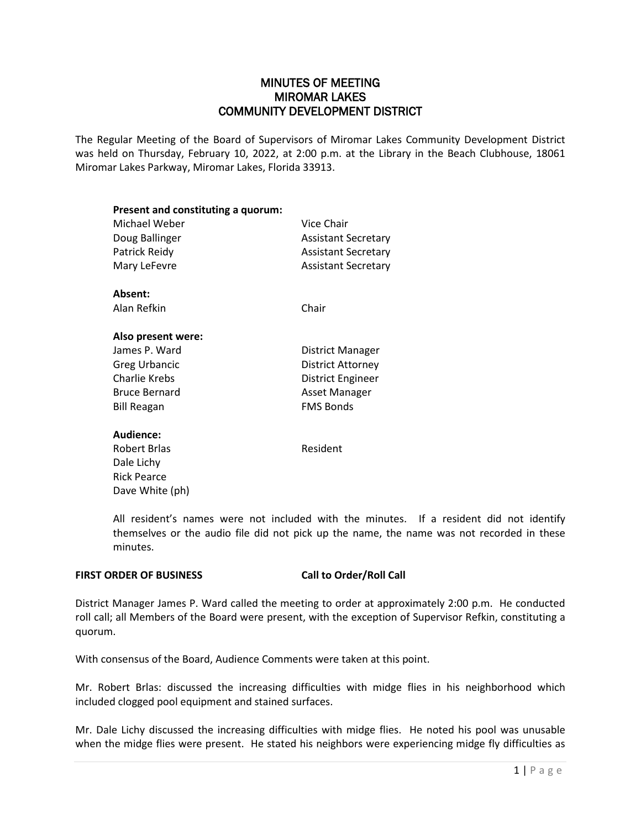# MINUTES OF MEETING MIROMAR LAKES COMMUNITY DEVELOPMENT DISTRICT

The Regular Meeting of the Board of Supervisors of Miromar Lakes Community Development District was held on Thursday, February 10, 2022, at 2:00 p.m. at the Library in the Beach Clubhouse, 18061 Miromar Lakes Parkway, Miromar Lakes, Florida 33913.

| Present and constituting a quorum: |                            |
|------------------------------------|----------------------------|
| Michael Weber                      | Vice Chair                 |
| Doug Ballinger                     | <b>Assistant Secretary</b> |
| Patrick Reidy                      | <b>Assistant Secretary</b> |
| Mary LeFevre                       | <b>Assistant Secretary</b> |
| Absent:                            |                            |
| Alan Refkin                        | Chair                      |
| Also present were:                 |                            |
| James P. Ward                      | District Manager           |
| <b>Greg Urbancic</b>               | District Attorney          |
| <b>Charlie Krebs</b>               | District Engineer          |
| <b>Bruce Bernard</b>               | <b>Asset Manager</b>       |
| Bill Reagan                        | <b>FMS Bonds</b>           |
| Audience:                          |                            |
| Robert Brlas                       | Resident                   |
| Dale Lichy                         |                            |
| <b>Rick Pearce</b>                 |                            |
| Dave White (ph)                    |                            |

All resident's names were not included with the minutes. If a resident did not identify themselves or the audio file did not pick up the name, the name was not recorded in these minutes.

# **FIRST ORDER OF BUSINESS Call to Order/Roll Call**

District Manager James P. Ward called the meeting to order at approximately 2:00 p.m. He conducted roll call; all Members of the Board were present, with the exception of Supervisor Refkin, constituting a quorum.

With consensus of the Board, Audience Comments were taken at this point.

Mr. Robert Brlas: discussed the increasing difficulties with midge flies in his neighborhood which included clogged pool equipment and stained surfaces.

Mr. Dale Lichy discussed the increasing difficulties with midge flies. He noted his pool was unusable when the midge flies were present. He stated his neighbors were experiencing midge fly difficulties as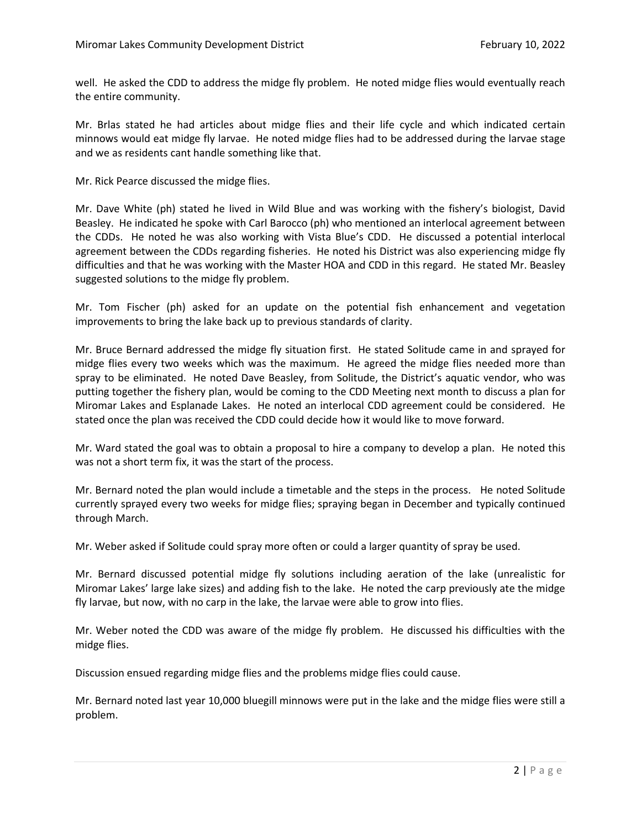well. He asked the CDD to address the midge fly problem. He noted midge flies would eventually reach the entire community.

Mr. Brlas stated he had articles about midge flies and their life cycle and which indicated certain minnows would eat midge fly larvae. He noted midge flies had to be addressed during the larvae stage and we as residents cant handle something like that.

Mr. Rick Pearce discussed the midge flies.

Mr. Dave White (ph) stated he lived in Wild Blue and was working with the fishery's biologist, David Beasley. He indicated he spoke with Carl Barocco (ph) who mentioned an interlocal agreement between the CDDs. He noted he was also working with Vista Blue's CDD. He discussed a potential interlocal agreement between the CDDs regarding fisheries. He noted his District was also experiencing midge fly difficulties and that he was working with the Master HOA and CDD in this regard. He stated Mr. Beasley suggested solutions to the midge fly problem.

Mr. Tom Fischer (ph) asked for an update on the potential fish enhancement and vegetation improvements to bring the lake back up to previous standards of clarity.

Mr. Bruce Bernard addressed the midge fly situation first. He stated Solitude came in and sprayed for midge flies every two weeks which was the maximum. He agreed the midge flies needed more than spray to be eliminated. He noted Dave Beasley, from Solitude, the District's aquatic vendor, who was putting together the fishery plan, would be coming to the CDD Meeting next month to discuss a plan for Miromar Lakes and Esplanade Lakes. He noted an interlocal CDD agreement could be considered. He stated once the plan was received the CDD could decide how it would like to move forward.

Mr. Ward stated the goal was to obtain a proposal to hire a company to develop a plan. He noted this was not a short term fix, it was the start of the process.

Mr. Bernard noted the plan would include a timetable and the steps in the process. He noted Solitude currently sprayed every two weeks for midge flies; spraying began in December and typically continued through March.

Mr. Weber asked if Solitude could spray more often or could a larger quantity of spray be used.

Mr. Bernard discussed potential midge fly solutions including aeration of the lake (unrealistic for Miromar Lakes' large lake sizes) and adding fish to the lake. He noted the carp previously ate the midge fly larvae, but now, with no carp in the lake, the larvae were able to grow into flies.

Mr. Weber noted the CDD was aware of the midge fly problem. He discussed his difficulties with the midge flies.

Discussion ensued regarding midge flies and the problems midge flies could cause.

Mr. Bernard noted last year 10,000 bluegill minnows were put in the lake and the midge flies were still a problem.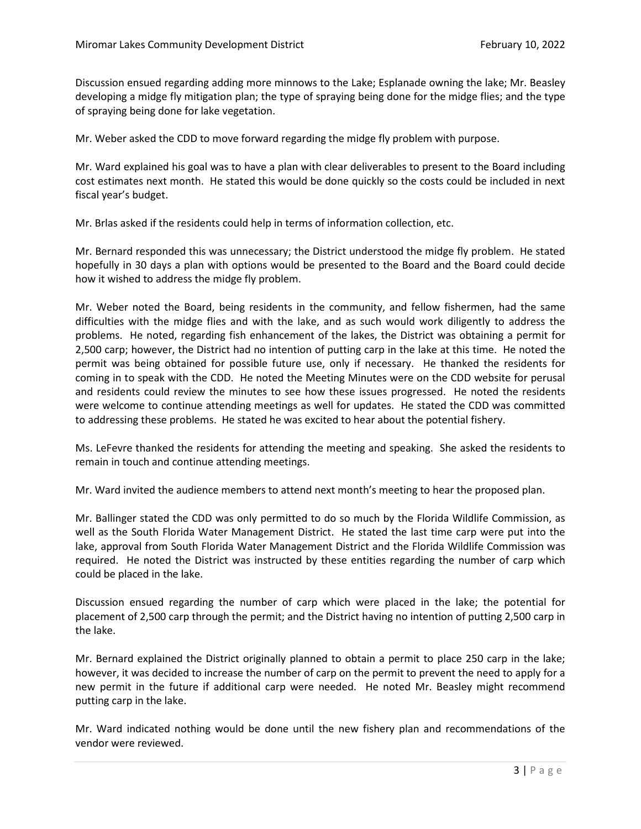Discussion ensued regarding adding more minnows to the Lake; Esplanade owning the lake; Mr. Beasley developing a midge fly mitigation plan; the type of spraying being done for the midge flies; and the type of spraying being done for lake vegetation.

Mr. Weber asked the CDD to move forward regarding the midge fly problem with purpose.

Mr. Ward explained his goal was to have a plan with clear deliverables to present to the Board including cost estimates next month. He stated this would be done quickly so the costs could be included in next fiscal year's budget.

Mr. Brlas asked if the residents could help in terms of information collection, etc.

Mr. Bernard responded this was unnecessary; the District understood the midge fly problem. He stated hopefully in 30 days a plan with options would be presented to the Board and the Board could decide how it wished to address the midge fly problem.

Mr. Weber noted the Board, being residents in the community, and fellow fishermen, had the same difficulties with the midge flies and with the lake, and as such would work diligently to address the problems. He noted, regarding fish enhancement of the lakes, the District was obtaining a permit for 2,500 carp; however, the District had no intention of putting carp in the lake at this time. He noted the permit was being obtained for possible future use, only if necessary. He thanked the residents for coming in to speak with the CDD. He noted the Meeting Minutes were on the CDD website for perusal and residents could review the minutes to see how these issues progressed. He noted the residents were welcome to continue attending meetings as well for updates. He stated the CDD was committed to addressing these problems. He stated he was excited to hear about the potential fishery.

Ms. LeFevre thanked the residents for attending the meeting and speaking. She asked the residents to remain in touch and continue attending meetings.

Mr. Ward invited the audience members to attend next month's meeting to hear the proposed plan.

Mr. Ballinger stated the CDD was only permitted to do so much by the Florida Wildlife Commission, as well as the South Florida Water Management District. He stated the last time carp were put into the lake, approval from South Florida Water Management District and the Florida Wildlife Commission was required. He noted the District was instructed by these entities regarding the number of carp which could be placed in the lake.

Discussion ensued regarding the number of carp which were placed in the lake; the potential for placement of 2,500 carp through the permit; and the District having no intention of putting 2,500 carp in the lake.

Mr. Bernard explained the District originally planned to obtain a permit to place 250 carp in the lake; however, it was decided to increase the number of carp on the permit to prevent the need to apply for a new permit in the future if additional carp were needed. He noted Mr. Beasley might recommend putting carp in the lake.

Mr. Ward indicated nothing would be done until the new fishery plan and recommendations of the vendor were reviewed.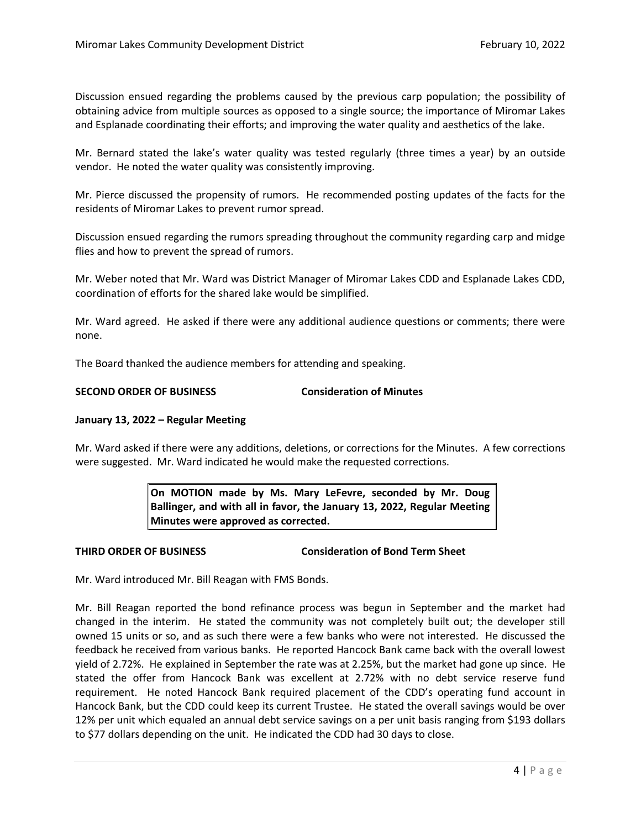Discussion ensued regarding the problems caused by the previous carp population; the possibility of obtaining advice from multiple sources as opposed to a single source; the importance of Miromar Lakes and Esplanade coordinating their efforts; and improving the water quality and aesthetics of the lake.

Mr. Bernard stated the lake's water quality was tested regularly (three times a year) by an outside vendor. He noted the water quality was consistently improving.

Mr. Pierce discussed the propensity of rumors. He recommended posting updates of the facts for the residents of Miromar Lakes to prevent rumor spread.

Discussion ensued regarding the rumors spreading throughout the community regarding carp and midge flies and how to prevent the spread of rumors.

Mr. Weber noted that Mr. Ward was District Manager of Miromar Lakes CDD and Esplanade Lakes CDD, coordination of efforts for the shared lake would be simplified.

Mr. Ward agreed. He asked if there were any additional audience questions or comments; there were none.

The Board thanked the audience members for attending and speaking.

# **SECOND ORDER OF BUSINESS Consideration of Minutes**

## **January 13, 2022 – Regular Meeting**

Mr. Ward asked if there were any additions, deletions, or corrections for the Minutes. A few corrections were suggested. Mr. Ward indicated he would make the requested corrections.

> **On MOTION made by Ms. Mary LeFevre, seconded by Mr. Doug Ballinger, and with all in favor, the January 13, 2022, Regular Meeting Minutes were approved as corrected.**

**THIRD ORDER OF BUSINESS Consideration of Bond Term Sheet**

Mr. Ward introduced Mr. Bill Reagan with FMS Bonds.

Mr. Bill Reagan reported the bond refinance process was begun in September and the market had changed in the interim. He stated the community was not completely built out; the developer still owned 15 units or so, and as such there were a few banks who were not interested. He discussed the feedback he received from various banks. He reported Hancock Bank came back with the overall lowest yield of 2.72%. He explained in September the rate was at 2.25%, but the market had gone up since. He stated the offer from Hancock Bank was excellent at 2.72% with no debt service reserve fund requirement. He noted Hancock Bank required placement of the CDD's operating fund account in Hancock Bank, but the CDD could keep its current Trustee. He stated the overall savings would be over 12% per unit which equaled an annual debt service savings on a per unit basis ranging from \$193 dollars to \$77 dollars depending on the unit. He indicated the CDD had 30 days to close.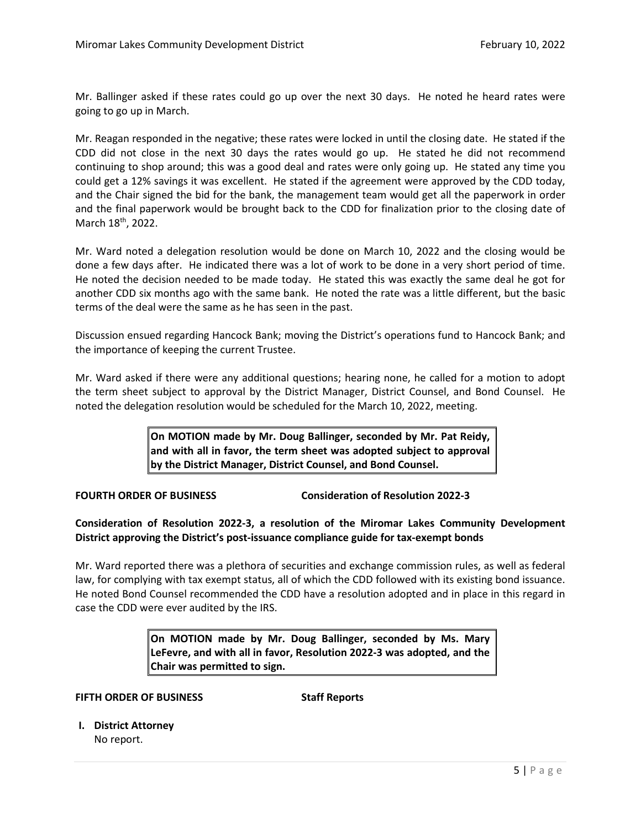Mr. Ballinger asked if these rates could go up over the next 30 days. He noted he heard rates were going to go up in March.

Mr. Reagan responded in the negative; these rates were locked in until the closing date. He stated if the CDD did not close in the next 30 days the rates would go up. He stated he did not recommend continuing to shop around; this was a good deal and rates were only going up. He stated any time you could get a 12% savings it was excellent. He stated if the agreement were approved by the CDD today, and the Chair signed the bid for the bank, the management team would get all the paperwork in order and the final paperwork would be brought back to the CDD for finalization prior to the closing date of March 18<sup>th</sup>, 2022.

Mr. Ward noted a delegation resolution would be done on March 10, 2022 and the closing would be done a few days after. He indicated there was a lot of work to be done in a very short period of time. He noted the decision needed to be made today. He stated this was exactly the same deal he got for another CDD six months ago with the same bank. He noted the rate was a little different, but the basic terms of the deal were the same as he has seen in the past.

Discussion ensued regarding Hancock Bank; moving the District's operations fund to Hancock Bank; and the importance of keeping the current Trustee.

Mr. Ward asked if there were any additional questions; hearing none, he called for a motion to adopt the term sheet subject to approval by the District Manager, District Counsel, and Bond Counsel. He noted the delegation resolution would be scheduled for the March 10, 2022, meeting.

> **On MOTION made by Mr. Doug Ballinger, seconded by Mr. Pat Reidy, and with all in favor, the term sheet was adopted subject to approval by the District Manager, District Counsel, and Bond Counsel.**

**FOURTH ORDER OF BUSINESS Consideration of Resolution 2022-3**

**Consideration of Resolution 2022-3, a resolution of the Miromar Lakes Community Development District approving the District's post-issuance compliance guide for tax-exempt bonds**

Mr. Ward reported there was a plethora of securities and exchange commission rules, as well as federal law, for complying with tax exempt status, all of which the CDD followed with its existing bond issuance. He noted Bond Counsel recommended the CDD have a resolution adopted and in place in this regard in case the CDD were ever audited by the IRS.

> **On MOTION made by Mr. Doug Ballinger, seconded by Ms. Mary LeFevre, and with all in favor, Resolution 2022-3 was adopted, and the Chair was permitted to sign.**

**FIFTH ORDER OF BUSINESS Staff Reports**

**I. District Attorney** No report.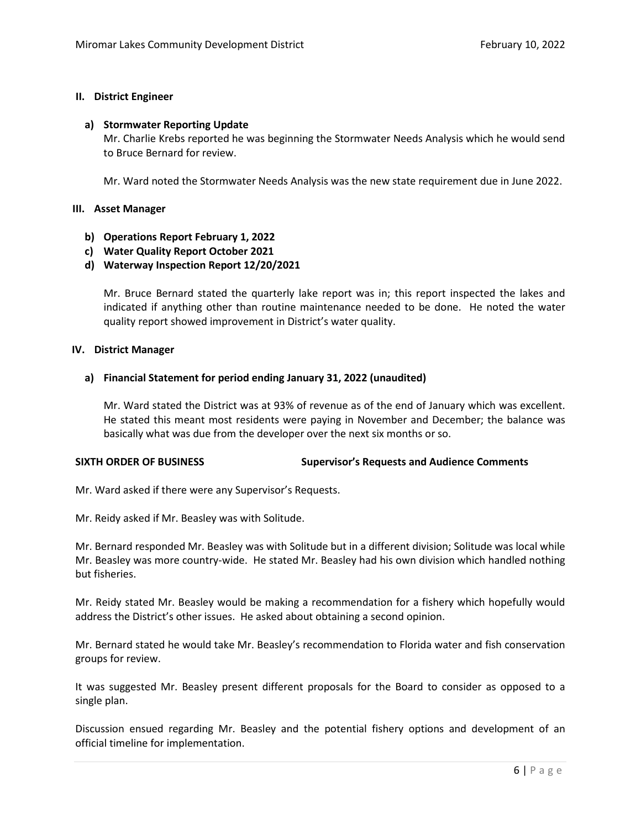## **II. District Engineer**

#### **a) Stormwater Reporting Update**

Mr. Charlie Krebs reported he was beginning the Stormwater Needs Analysis which he would send to Bruce Bernard for review.

Mr. Ward noted the Stormwater Needs Analysis was the new state requirement due in June 2022.

### **III. Asset Manager**

- **b) Operations Report February 1, 2022**
- **c) Water Quality Report October 2021**
- **d) Waterway Inspection Report 12/20/2021**

Mr. Bruce Bernard stated the quarterly lake report was in; this report inspected the lakes and indicated if anything other than routine maintenance needed to be done. He noted the water quality report showed improvement in District's water quality.

#### **IV. District Manager**

### **a) Financial Statement for period ending January 31, 2022 (unaudited)**

Mr. Ward stated the District was at 93% of revenue as of the end of January which was excellent. He stated this meant most residents were paying in November and December; the balance was basically what was due from the developer over the next six months or so.

## **SIXTH ORDER OF BUSINESS Supervisor's Requests and Audience Comments**

Mr. Ward asked if there were any Supervisor's Requests.

Mr. Reidy asked if Mr. Beasley was with Solitude.

Mr. Bernard responded Mr. Beasley was with Solitude but in a different division; Solitude was local while Mr. Beasley was more country-wide. He stated Mr. Beasley had his own division which handled nothing but fisheries.

Mr. Reidy stated Mr. Beasley would be making a recommendation for a fishery which hopefully would address the District's other issues. He asked about obtaining a second opinion.

Mr. Bernard stated he would take Mr. Beasley's recommendation to Florida water and fish conservation groups for review.

It was suggested Mr. Beasley present different proposals for the Board to consider as opposed to a single plan.

Discussion ensued regarding Mr. Beasley and the potential fishery options and development of an official timeline for implementation.